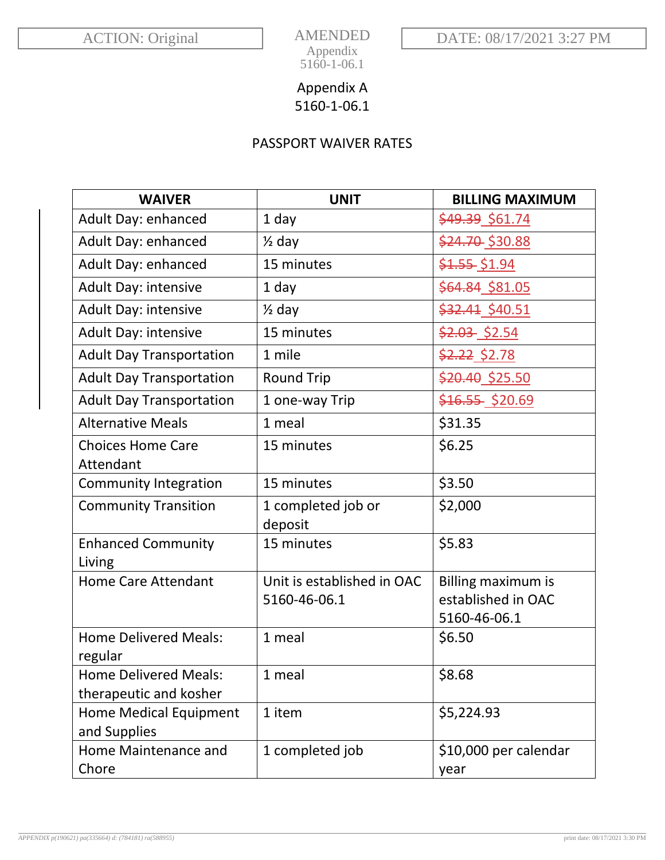AMENDED

Appendix 5160-1-06.1

## Appendix A 5160-1-06.1

## PASSPORT WAIVER RATES

| <b>WAIVER</b>                       | <b>UNIT</b>                | <b>BILLING MAXIMUM</b> |
|-------------------------------------|----------------------------|------------------------|
| Adult Day: enhanced                 | 1 day                      | \$49.39 \$61.74        |
| Adult Day: enhanced                 | $\frac{1}{2}$ day          | \$24.70 \$30.88        |
| Adult Day: enhanced                 | 15 minutes                 | \$1.55 \$1.94          |
| Adult Day: intensive                | 1 day                      | \$64.84_\$81.05        |
| <b>Adult Day: intensive</b>         | $\frac{1}{2}$ day          | \$32.41 \$40.51        |
| Adult Day: intensive                | 15 minutes                 | $$2.03$$ \$2.54        |
| <b>Adult Day Transportation</b>     | 1 mile                     | <u>\$2.22_\$2.78</u>   |
| <b>Adult Day Transportation</b>     | <b>Round Trip</b>          | \$20.40 \$25.50        |
| <b>Adult Day Transportation</b>     | 1 one-way Trip             | \$16.55 \$20.69        |
| <b>Alternative Meals</b>            | 1 meal                     | \$31.35                |
| <b>Choices Home Care</b>            | 15 minutes                 | \$6.25                 |
| Attendant                           |                            |                        |
| <b>Community Integration</b>        | 15 minutes                 | \$3.50                 |
| <b>Community Transition</b>         | 1 completed job or         | \$2,000                |
|                                     | deposit                    |                        |
| <b>Enhanced Community</b><br>Living | 15 minutes                 | \$5.83                 |
| <b>Home Care Attendant</b>          | Unit is established in OAC | Billing maximum is     |
|                                     | 5160-46-06.1               | established in OAC     |
|                                     |                            | 5160-46-06.1           |
| <b>Home Delivered Meals:</b>        | 1 meal                     | \$6.50                 |
| regular                             |                            |                        |
| <b>Home Delivered Meals:</b>        | 1 meal                     | \$8.68                 |
| therapeutic and kosher              |                            |                        |
| Home Medical Equipment              | 1 item                     | \$5,224.93             |
| and Supplies                        |                            |                        |
| Home Maintenance and                | 1 completed job            | \$10,000 per calendar  |
| Chore                               |                            | year                   |